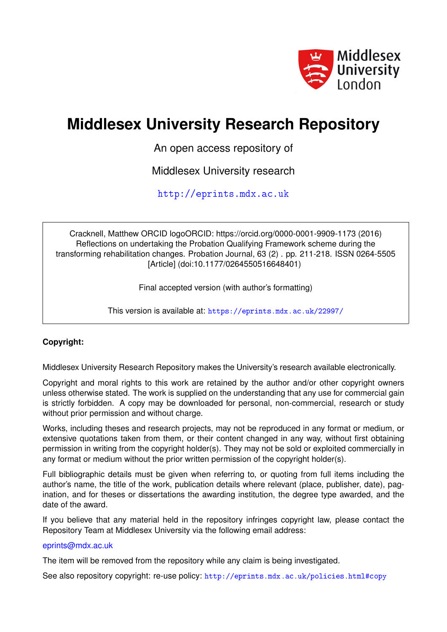

# **Middlesex University Research Repository**

An open access repository of

Middlesex University research

<http://eprints.mdx.ac.uk>

Cracknell, Matthew ORCID logoORCID: https://orcid.org/0000-0001-9909-1173 (2016) Reflections on undertaking the Probation Qualifying Framework scheme during the transforming rehabilitation changes. Probation Journal, 63 (2) . pp. 211-218. ISSN 0264-5505 [Article] (doi:10.1177/0264550516648401)

Final accepted version (with author's formatting)

This version is available at: <https://eprints.mdx.ac.uk/22997/>

## **Copyright:**

Middlesex University Research Repository makes the University's research available electronically.

Copyright and moral rights to this work are retained by the author and/or other copyright owners unless otherwise stated. The work is supplied on the understanding that any use for commercial gain is strictly forbidden. A copy may be downloaded for personal, non-commercial, research or study without prior permission and without charge.

Works, including theses and research projects, may not be reproduced in any format or medium, or extensive quotations taken from them, or their content changed in any way, without first obtaining permission in writing from the copyright holder(s). They may not be sold or exploited commercially in any format or medium without the prior written permission of the copyright holder(s).

Full bibliographic details must be given when referring to, or quoting from full items including the author's name, the title of the work, publication details where relevant (place, publisher, date), pagination, and for theses or dissertations the awarding institution, the degree type awarded, and the date of the award.

If you believe that any material held in the repository infringes copyright law, please contact the Repository Team at Middlesex University via the following email address:

## [eprints@mdx.ac.uk](mailto:eprints@mdx.ac.uk)

The item will be removed from the repository while any claim is being investigated.

See also repository copyright: re-use policy: <http://eprints.mdx.ac.uk/policies.html#copy>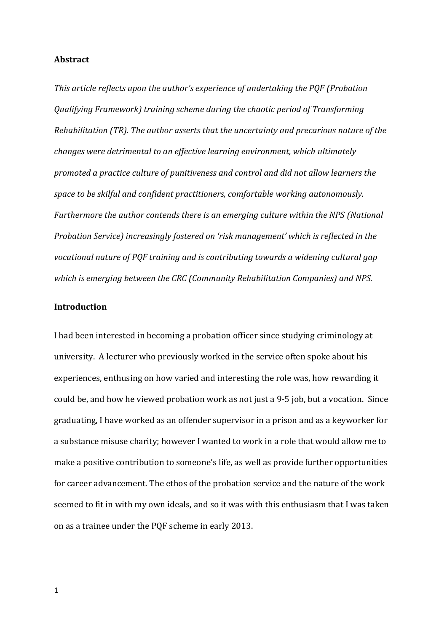### **Abstract**

*This article reflects upon the author's experience of undertaking the PQF (Probation Qualifying Framework) training scheme during the chaotic period of Transforming Rehabilitation (TR). The author asserts that the uncertainty and precarious nature of the changes were detrimental to an effective learning environment, which ultimately promoted a practice culture of punitiveness and control and did not allow learners the space to be skilful and confident practitioners, comfortable working autonomously. Furthermore the author contends there is an emerging culture within the NPS (National Probation Service) increasingly fostered on 'risk management' which is reflected in the vocational nature of PQF training and is contributing towards a widening cultural gap which is emerging between the CRC (Community Rehabilitation Companies) and NPS.*

#### **Introduction**

I had been interested in becoming a probation officer since studying criminology at university. A lecturer who previously worked in the service often spoke about his experiences, enthusing on how varied and interesting the role was, how rewarding it could be, and how he viewed probation work as not just a 9-5 job, but a vocation. Since graduating, I have worked as an offender supervisor in a prison and as a keyworker for a substance misuse charity; however I wanted to work in a role that would allow me to make a positive contribution to someone's life, as well as provide further opportunities for career advancement. The ethos of the probation service and the nature of the work seemed to fit in with my own ideals, and so it was with this enthusiasm that I was taken on as a trainee under the PQF scheme in early 2013.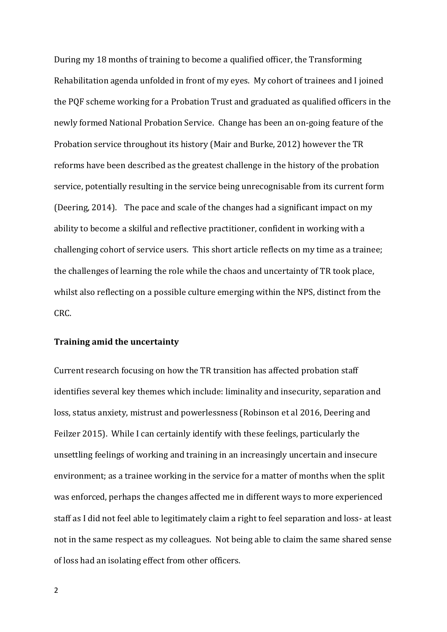During my 18 months of training to become a qualified officer, the Transforming Rehabilitation agenda unfolded in front of my eyes. My cohort of trainees and I joined the PQF scheme working for a Probation Trust and graduated as qualified officers in the newly formed National Probation Service. Change has been an on-going feature of the Probation service throughout its history (Mair and Burke, 2012) however the TR reforms have been described as the greatest challenge in the history of the probation service, potentially resulting in the service being unrecognisable from its current form (Deering, 2014). The pace and scale of the changes had a significant impact on my ability to become a skilful and reflective practitioner, confident in working with a challenging cohort of service users. This short article reflects on my time as a trainee; the challenges of learning the role while the chaos and uncertainty of TR took place, whilst also reflecting on a possible culture emerging within the NPS, distinct from the CRC.

## **Training amid the uncertainty**

Current research focusing on how the TR transition has affected probation staff identifies several key themes which include: liminality and insecurity, separation and loss, status anxiety, mistrust and powerlessness (Robinson et al 2016, Deering and Feilzer 2015). While I can certainly identify with these feelings, particularly the unsettling feelings of working and training in an increasingly uncertain and insecure environment; as a trainee working in the service for a matter of months when the split was enforced, perhaps the changes affected me in different ways to more experienced staff as I did not feel able to legitimately claim a right to feel separation and loss- at least not in the same respect as my colleagues. Not being able to claim the same shared sense of loss had an isolating effect from other officers.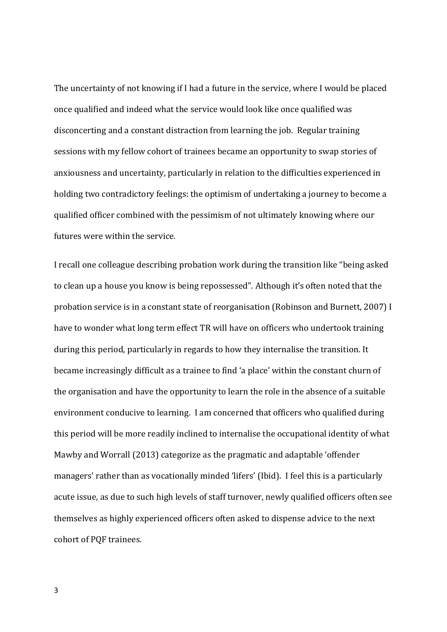The uncertainty of not knowing if I had a future in the service, where I would be placed once qualified and indeed what the service would look like once qualified was disconcerting and a constant distraction from learning the job. Regular training sessions with my fellow cohort of trainees became an opportunity to swap stories of anxiousness and uncertainty, particularly in relation to the difficulties experienced in holding two contradictory feelings: the optimism of undertaking a journey to become a qualified officer combined with the pessimism of not ultimately knowing where our futures were within the service.

I recall one colleague describing probation work during the transition like "being asked to clean up a house you know is being repossessed". Although it's often noted that the probation service is in a constant state of reorganisation (Robinson and Burnett, 2007) I have to wonder what long term effect TR will have on officers who undertook training during this period, particularly in regards to how they internalise the transition. It became increasingly difficult as a trainee to find 'a place' within the constant churn of the organisation and have the opportunity to learn the role in the absence of a suitable environment conducive to learning. I am concerned that officers who qualified during this period will be more readily inclined to internalise the occupational identity of what Mawby and Worrall (2013) categorize as the pragmatic and adaptable 'offender managers' rather than as vocationally minded 'lifers' (Ibid). I feel this is a particularly acute issue, as due to such high levels of staff turnover, newly qualified officers often see themselves as highly experienced officers often asked to dispense advice to the next cohort of PQF trainees.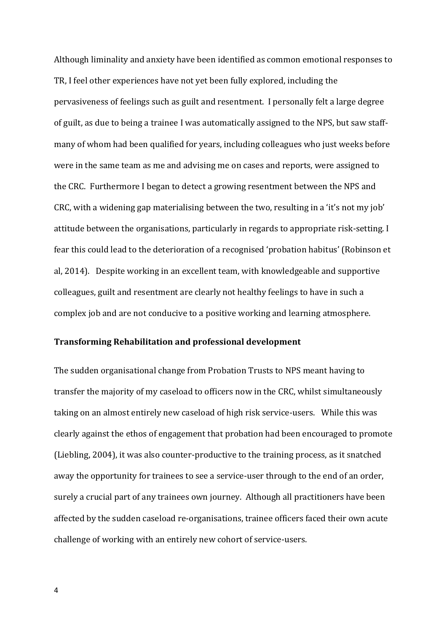Although liminality and anxiety have been identified as common emotional responses to TR, I feel other experiences have not yet been fully explored, including the pervasiveness of feelings such as guilt and resentment. I personally felt a large degree of guilt, as due to being a trainee I was automatically assigned to the NPS, but saw staffmany of whom had been qualified for years, including colleagues who just weeks before were in the same team as me and advising me on cases and reports, were assigned to the CRC. Furthermore I began to detect a growing resentment between the NPS and CRC, with a widening gap materialising between the two, resulting in a 'it's not my job' attitude between the organisations, particularly in regards to appropriate risk-setting. I fear this could lead to the deterioration of a recognised 'probation habitus' (Robinson et al, 2014). Despite working in an excellent team, with knowledgeable and supportive colleagues, guilt and resentment are clearly not healthy feelings to have in such a complex job and are not conducive to a positive working and learning atmosphere.

## **Transforming Rehabilitation and professional development**

The sudden organisational change from Probation Trusts to NPS meant having to transfer the majority of my caseload to officers now in the CRC, whilst simultaneously taking on an almost entirely new caseload of high risk service-users. While this was clearly against the ethos of engagement that probation had been encouraged to promote (Liebling, 2004), it was also counter-productive to the training process, as it snatched away the opportunity for trainees to see a service-user through to the end of an order, surely a crucial part of any trainees own journey. Although all practitioners have been affected by the sudden caseload re-organisations, trainee officers faced their own acute challenge of working with an entirely new cohort of service-users.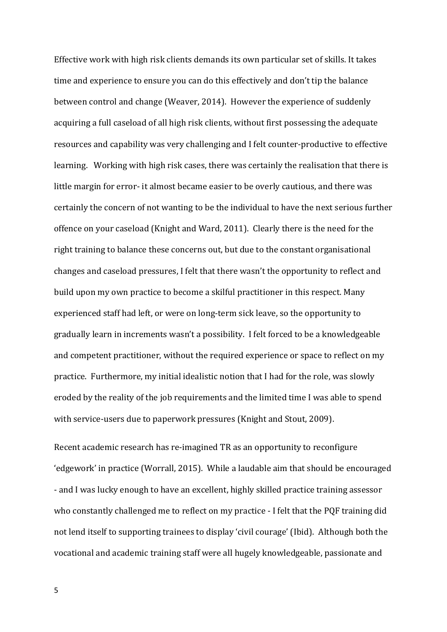Effective work with high risk clients demands its own particular set of skills. It takes time and experience to ensure you can do this effectively and don't tip the balance between control and change (Weaver, 2014). However the experience of suddenly acquiring a full caseload of all high risk clients, without first possessing the adequate resources and capability was very challenging and I felt counter-productive to effective learning. Working with high risk cases, there was certainly the realisation that there is little margin for error- it almost became easier to be overly cautious, and there was certainly the concern of not wanting to be the individual to have the next serious further offence on your caseload (Knight and Ward, 2011). Clearly there is the need for the right training to balance these concerns out, but due to the constant organisational changes and caseload pressures, I felt that there wasn't the opportunity to reflect and build upon my own practice to become a skilful practitioner in this respect. Many experienced staff had left, or were on long-term sick leave, so the opportunity to gradually learn in increments wasn't a possibility. I felt forced to be a knowledgeable and competent practitioner, without the required experience or space to reflect on my practice. Furthermore, my initial idealistic notion that I had for the role, was slowly eroded by the reality of the job requirements and the limited time I was able to spend with service-users due to paperwork pressures (Knight and Stout, 2009).

Recent academic research has re-imagined TR as an opportunity to reconfigure 'edgework' in practice (Worrall, 2015). While a laudable aim that should be encouraged - and I was lucky enough to have an excellent, highly skilled practice training assessor who constantly challenged me to reflect on my practice - I felt that the PQF training did not lend itself to supporting trainees to display 'civil courage' (Ibid). Although both the vocational and academic training staff were all hugely knowledgeable, passionate and

5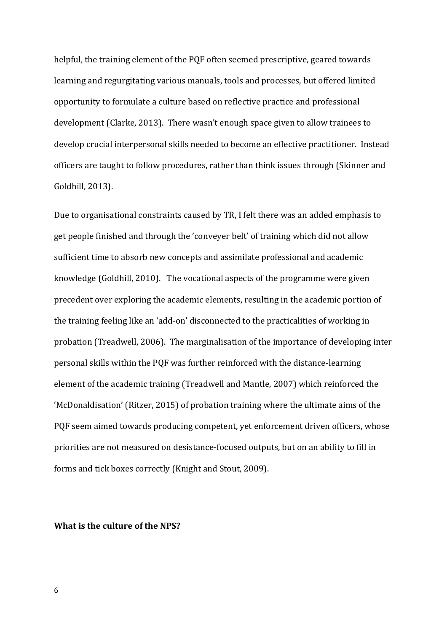helpful, the training element of the PQF often seemed prescriptive, geared towards learning and regurgitating various manuals, tools and processes, but offered limited opportunity to formulate a culture based on reflective practice and professional development (Clarke, 2013). There wasn't enough space given to allow trainees to develop crucial interpersonal skills needed to become an effective practitioner. Instead officers are taught to follow procedures, rather than think issues through (Skinner and Goldhill, 2013).

Due to organisational constraints caused by TR, I felt there was an added emphasis to get people finished and through the 'conveyer belt' of training which did not allow sufficient time to absorb new concepts and assimilate professional and academic knowledge (Goldhill, 2010). The vocational aspects of the programme were given precedent over exploring the academic elements, resulting in the academic portion of the training feeling like an 'add-on' disconnected to the practicalities of working in probation (Treadwell, 2006). The marginalisation of the importance of developing inter personal skills within the PQF was further reinforced with the distance-learning element of the academic training (Treadwell and Mantle, 2007) which reinforced the 'McDonaldisation' (Ritzer, 2015) of probation training where the ultimate aims of the PQF seem aimed towards producing competent, yet enforcement driven officers, whose priorities are not measured on desistance-focused outputs, but on an ability to fill in forms and tick boxes correctly (Knight and Stout, 2009).

**What is the culture of the NPS?**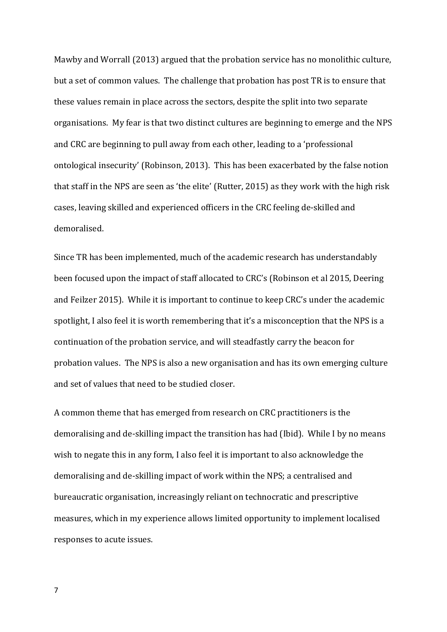Mawby and Worrall (2013) argued that the probation service has no monolithic culture, but a set of common values. The challenge that probation has post TR is to ensure that these values remain in place across the sectors, despite the split into two separate organisations. My fear is that two distinct cultures are beginning to emerge and the NPS and CRC are beginning to pull away from each other, leading to a 'professional ontological insecurity' (Robinson, 2013). This has been exacerbated by the false notion that staff in the NPS are seen as 'the elite' (Rutter, 2015) as they work with the high risk cases, leaving skilled and experienced officers in the CRC feeling de-skilled and demoralised.

Since TR has been implemented, much of the academic research has understandably been focused upon the impact of staff allocated to CRC's (Robinson et al 2015, Deering and Feilzer 2015). While it is important to continue to keep CRC's under the academic spotlight, I also feel it is worth remembering that it's a misconception that the NPS is a continuation of the probation service, and will steadfastly carry the beacon for probation values. The NPS is also a new organisation and has its own emerging culture and set of values that need to be studied closer.

A common theme that has emerged from research on CRC practitioners is the demoralising and de-skilling impact the transition has had (Ibid). While I by no means wish to negate this in any form, I also feel it is important to also acknowledge the demoralising and de-skilling impact of work within the NPS; a centralised and bureaucratic organisation, increasingly reliant on technocratic and prescriptive measures, which in my experience allows limited opportunity to implement localised responses to acute issues.

7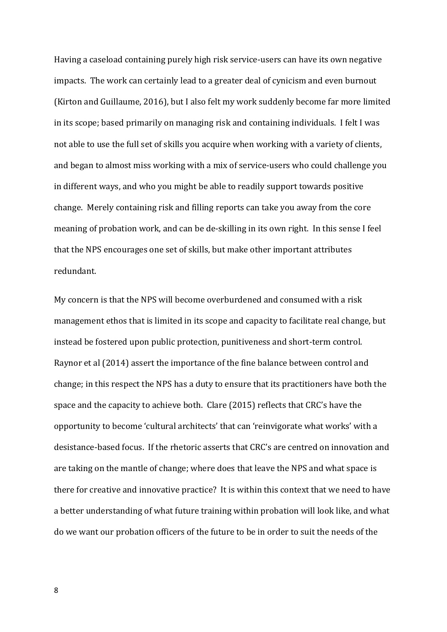Having a caseload containing purely high risk service-users can have its own negative impacts. The work can certainly lead to a greater deal of cynicism and even burnout (Kirton and Guillaume, 2016), but I also felt my work suddenly become far more limited in its scope; based primarily on managing risk and containing individuals. I felt I was not able to use the full set of skills you acquire when working with a variety of clients, and began to almost miss working with a mix of service-users who could challenge you in different ways, and who you might be able to readily support towards positive change. Merely containing risk and filling reports can take you away from the core meaning of probation work, and can be de-skilling in its own right. In this sense I feel that the NPS encourages one set of skills, but make other important attributes redundant.

My concern is that the NPS will become overburdened and consumed with a risk management ethos that is limited in its scope and capacity to facilitate real change, but instead be fostered upon public protection, punitiveness and short-term control. Raynor et al (2014) assert the importance of the fine balance between control and change; in this respect the NPS has a duty to ensure that its practitioners have both the space and the capacity to achieve both. Clare (2015) reflects that CRC's have the opportunity to become 'cultural architects' that can 'reinvigorate what works' with a desistance-based focus. If the rhetoric asserts that CRC's are centred on innovation and are taking on the mantle of change; where does that leave the NPS and what space is there for creative and innovative practice? It is within this context that we need to have a better understanding of what future training within probation will look like, and what do we want our probation officers of the future to be in order to suit the needs of the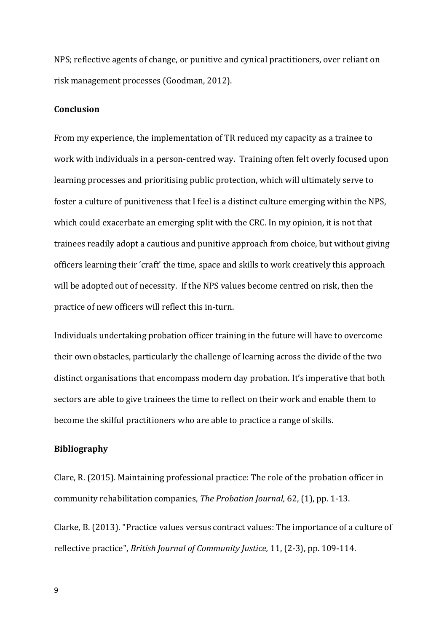NPS; reflective agents of change, or punitive and cynical practitioners, over reliant on risk management processes (Goodman, 2012).

#### **Conclusion**

From my experience, the implementation of TR reduced my capacity as a trainee to work with individuals in a person-centred way. Training often felt overly focused upon learning processes and prioritising public protection, which will ultimately serve to foster a culture of punitiveness that I feel is a distinct culture emerging within the NPS, which could exacerbate an emerging split with the CRC. In my opinion, it is not that trainees readily adopt a cautious and punitive approach from choice, but without giving officers learning their 'craft' the time, space and skills to work creatively this approach will be adopted out of necessity. If the NPS values become centred on risk, then the practice of new officers will reflect this in-turn.

Individuals undertaking probation officer training in the future will have to overcome their own obstacles, particularly the challenge of learning across the divide of the two distinct organisations that encompass modern day probation. It's imperative that both sectors are able to give trainees the time to reflect on their work and enable them to become the skilful practitioners who are able to practice a range of skills.

## **Bibliography**

Clare, R. (2015). Maintaining professional practice: The role of the probation officer in community rehabilitation companies, *The Probation Journal,* 62, (1), pp. 1-13.

Clarke, B. (2013). "Practice values versus contract values: The importance of a culture of reflective practice", *British Journal of Community Justice,* 11, (2-3), pp. 109-114.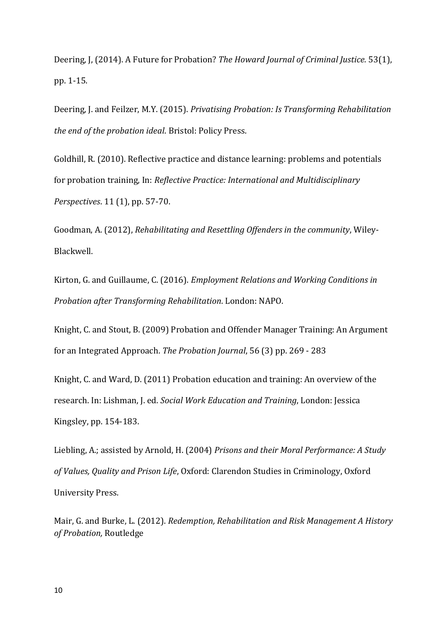Deering, J, (2014). A Future for Probation? *The Howard Journal of Criminal Justice.* 53(1), pp. 1-15.

Deering, J. and Feilzer, M.Y. (2015). *Privatising Probation: Is Transforming Rehabilitation the end of the probation ideal*. Bristol: Policy Press.

Goldhill, R. (2010). Reflective practice and distance learning: problems and potentials for probation training, In: *Reflective Practice: International and Multidisciplinary Perspectives*. 11 (1), pp. 57-70.

Goodman, A. (2012), *Rehabilitating and Resettling Offenders in the community*, Wiley-Blackwell.

Kirton, G. and Guillaume, C. (2016). *Employment Relations and Working Conditions in Probation after Transforming Rehabilitation*. London: NAPO.

Knight, C. and Stout, B. (2009) Probation and Offender Manager Training: An Argument for an Integrated Approach. *The Probation Journal*, 56 (3) pp. 269 - 283

Knight, C. and Ward, D. (2011) Probation education and training: An overview of the research. In: Lishman, J. ed. *Social Work Education and Training*, London: Jessica Kingsley, pp. 154-183.

Liebling, A.; assisted by Arnold, H. (2004) *Prisons and their Moral Performance: A Study of Values, Quality and Prison Life*, Oxford: Clarendon Studies in Criminology, Oxford University Press.

Mair, G. and Burke, L. (2012). *Redemption, Rehabilitation and Risk Management A History of Probation,* Routledge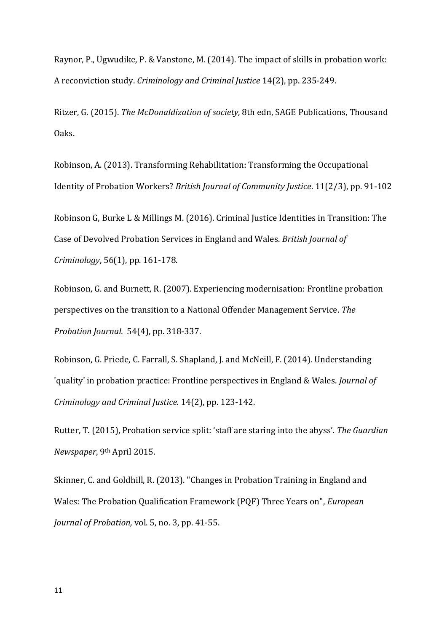Raynor, P., Ugwudike, P. & Vanstone, M. (2014). The impact of skills in probation work: A reconviction study. *Criminology and Criminal Justice* 14(2), pp. 235-249.

Ritzer, G. (2015). *The McDonaldization of society,* 8th edn, SAGE Publications, Thousand Oaks.

Robinson, A. (2013). Transforming Rehabilitation: Transforming the Occupational Identity of Probation Workers? *British Journal of Community Justice*. 11(2/3), pp. 91-102

Robinson G, Burke L & Millings M. (2016). Criminal Justice Identities in Transition: The Case of Devolved Probation Services in England and Wales. *British Journal of Criminology*, 56(1), pp. 161-178.

Robinson, G. and Burnett, R. (2007). Experiencing modernisation: Frontline probation perspectives on the transition to a National Offender Management Service. *The Probation Journal.* 54(4), pp. 318-337.

Robinson, G. Priede, C. Farrall, S. Shapland, J. and McNeill, F. (2014). Understanding 'quality' in probation practice: Frontline perspectives in England & Wales. *Journal of Criminology and Criminal Justice.* 14(2), pp. 123-142.

Rutter, T. (2015), Probation service split: 'staff are staring into the abyss'*. The Guardian Newspaper*, 9th April 2015.

Skinner, C. and Goldhill, R. (2013). "Changes in Probation Training in England and Wales: The Probation Qualification Framework (PQF) Three Years on", *European Journal of Probation,* vol. 5, no. 3, pp. 41-55.